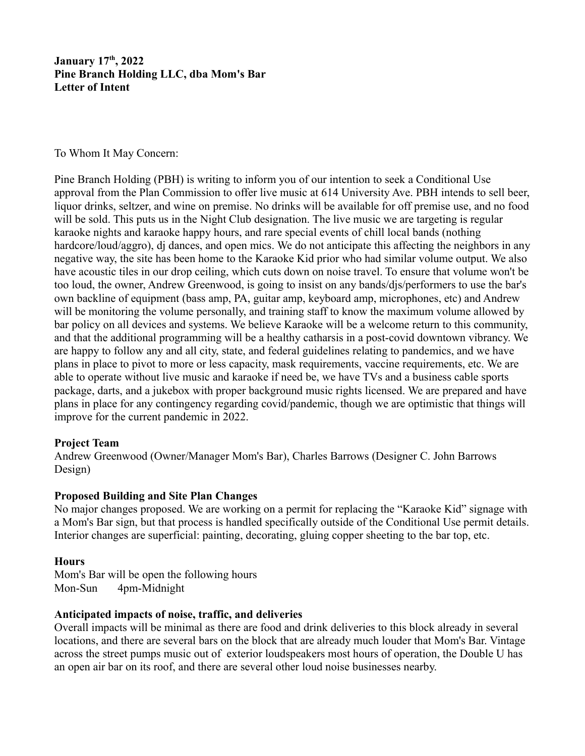## **January 17th, 2022 Pine Branch Holding LLC, dba Mom's Bar Letter of Intent**

#### To Whom It May Concern:

Pine Branch Holding (PBH) is writing to inform you of our intention to seek a Conditional Use approval from the Plan Commission to offer live music at 614 University Ave. PBH intends to sell beer, liquor drinks, seltzer, and wine on premise. No drinks will be available for off premise use, and no food will be sold. This puts us in the Night Club designation. The live music we are targeting is regular karaoke nights and karaoke happy hours, and rare special events of chill local bands (nothing hardcore/loud/aggro), dj dances, and open mics. We do not anticipate this affecting the neighbors in any negative way, the site has been home to the Karaoke Kid prior who had similar volume output. We also have acoustic tiles in our drop ceiling, which cuts down on noise travel. To ensure that volume won't be too loud, the owner, Andrew Greenwood, is going to insist on any bands/djs/performers to use the bar's own backline of equipment (bass amp, PA, guitar amp, keyboard amp, microphones, etc) and Andrew will be monitoring the volume personally, and training staff to know the maximum volume allowed by bar policy on all devices and systems. We believe Karaoke will be a welcome return to this community, and that the additional programming will be a healthy catharsis in a post-covid downtown vibrancy. We are happy to follow any and all city, state, and federal guidelines relating to pandemics, and we have plans in place to pivot to more or less capacity, mask requirements, vaccine requirements, etc. We are able to operate without live music and karaoke if need be, we have TVs and a business cable sports package, darts, and a jukebox with proper background music rights licensed. We are prepared and have plans in place for any contingency regarding covid/pandemic, though we are optimistic that things will improve for the current pandemic in 2022.

### **Project Team**

Andrew Greenwood (Owner/Manager Mom's Bar), Charles Barrows (Designer C. John Barrows Design)

### **Proposed Building and Site Plan Changes**

No major changes proposed. We are working on a permit for replacing the "Karaoke Kid" signage with a Mom's Bar sign, but that process is handled specifically outside of the Conditional Use permit details. Interior changes are superficial: painting, decorating, gluing copper sheeting to the bar top, etc.

### **Hours**

Mom's Bar will be open the following hours Mon-Sun 4pm-Midnight

### **Anticipated impacts of noise, traffic, and deliveries**

Overall impacts will be minimal as there are food and drink deliveries to this block already in several locations, and there are several bars on the block that are already much louder that Mom's Bar. Vintage across the street pumps music out of exterior loudspeakers most hours of operation, the Double U has an open air bar on its roof, and there are several other loud noise businesses nearby.